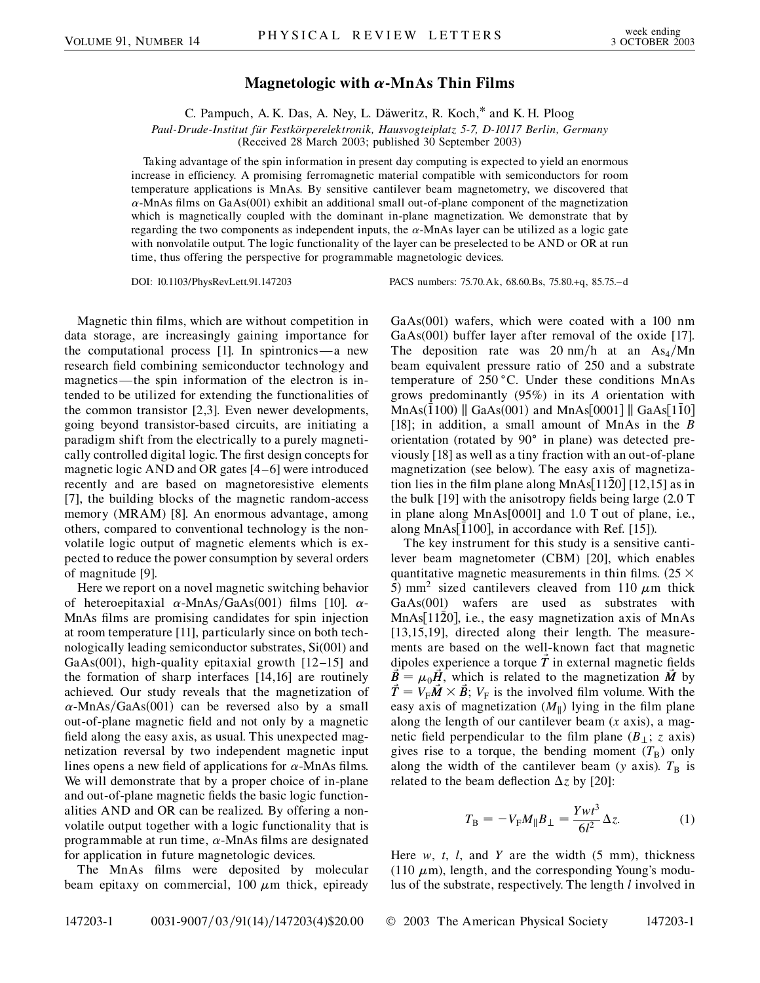## **Magnetologic with**  $\alpha$ **-MnAs Thin Films**

C. Pampuch, A. K. Das, A. Ney, L. Däweritz, R. Koch,\* and K. H. Ploog

*Paul-Drude-Institut fu¨r Festko¨rperelektronik, Hausvogteiplatz 5-7, D-10117 Berlin, Germany*

(Received 28 March 2003; published 30 September 2003)

Taking advantage of the spin information in present day computing is expected to yield an enormous increase in efficiency. A promising ferromagnetic material compatible with semiconductors for room temperature applications is MnAs. By sensitive cantilever beam magnetometry, we discovered that  $\alpha$ -MnAs films on GaAs(001) exhibit an additional small out-of-plane component of the magnetization which is magnetically coupled with the dominant in-plane magnetization. We demonstrate that by regarding the two components as independent inputs, the  $\alpha$ -MnAs layer can be utilized as a logic gate with nonvolatile output. The logic functionality of the layer can be preselected to be AND or OR at run time, thus offering the perspective for programmable magnetologic devices.

DOI: 10.1103/PhysRevLett.91.147203 PACS numbers: 75.70.Ak, 68.60.Bs, 75.80.+q, 85.75.–d

Magnetic thin films, which are without competition in data storage, are increasingly gaining importance for the computational process [1]. In spintronics—a new research field combining semiconductor technology and magnetics—the spin information of the electron is intended to be utilized for extending the functionalities of the common transistor [2,3]. Even newer developments, going beyond transistor-based circuits, are initiating a paradigm shift from the electrically to a purely magnetically controlled digital logic. The first design concepts for magnetic logic AND and OR gates [4–6] were introduced recently and are based on magnetoresistive elements [7], the building blocks of the magnetic random-access memory (MRAM) [8]. An enormous advantage, among others, compared to conventional technology is the nonvolatile logic output of magnetic elements which is expected to reduce the power consumption by several orders of magnitude [9].

Here we report on a novel magnetic switching behavior of heteroepitaxial  $\alpha$ -MnAs/GaAs(001) films [10].  $\alpha$ -MnAs films are promising candidates for spin injection at room temperature [11], particularly since on both technologically leading semiconductor substrates, Si(001) and GaAs(001), high-quality epitaxial growth [12–15] and the formation of sharp interfaces [14,16] are routinely achieved. Our study reveals that the magnetization of  $\alpha$ -MnAs/GaAs(001) can be reversed also by a small out-of-plane magnetic field and not only by a magnetic field along the easy axis, as usual. This unexpected magnetization reversal by two independent magnetic input lines opens a new field of applications for  $\alpha$ -MnAs films. We will demonstrate that by a proper choice of in-plane and out-of-plane magnetic fields the basic logic functionalities AND and OR can be realized. By offering a nonvolatile output together with a logic functionality that is programmable at run time,  $\alpha$ -MnAs films are designated for application in future magnetologic devices.

The MnAs films were deposited by molecular beam epitaxy on commercial, 100  $\mu$ m thick, epiready GaAs(001) wafers, which were coated with a 100 nm GaAs(001) buffer layer after removal of the oxide [17]. The deposition rate was 20 nm/h at an  $\text{As}_4/\text{Mn}$ beam equivalent pressure ratio of 250 and a substrate temperature of  $250^{\circ}$ C. Under these conditions MnAs grows predominantly (95%) in its *A* orientation with  $\text{MnAs}(\hat{1}100) \parallel \text{GaAs}(001)$  and  $\text{MnAs}[0001] \parallel \text{GaAs}[1\bar{1}0]$ [18]; in addition, a small amount of MnAs in the *B* orientation (rotated by  $90^\circ$  in plane) was detected previously [18] as well as a tiny fraction with an out-of-plane magnetization (see below). The easy axis of magnetization lies in the film plane along MnAs[1120]  $[12,15]$  as in the bulk [19] with the anisotropy fields being large (2.0 T in plane along MnAs[0001] and 1.0 T out of plane, i.e., along MnAs<sup>[100]</sup>, in accordance with Ref. [15]).

The key instrument for this study is a sensitive cantilever beam magnetometer (CBM) [20], which enables quantitative magnetic measurements in thin films.  $(25 \times$ 5) mm<sup>2</sup> sized cantilevers cleaved from 110  $\mu$ m thick GaAs(001) wafers are used as substrates with  $MnAs[11\overline{2}0]$ , i.e., the easy magnetization axis of MnAs [13,15,19], directed along their length. The measurements are based on the well-known fact that magnetic dipoles experience a torque  $\tilde{T}$  in external magnetic fields  $\vec{B} = \mu_0 \vec{H}$ , which is related to the magnetization  $\vec{M}$  by  $\tilde{T} = V_{F} \tilde{M} \times \tilde{B}$ ;  $V_{F}$  is the involved film volume. With the easy axis of magnetization  $(M_{\parallel})$  lying in the film plane along the length of our cantilever beam (*x* axis), a magnetic field perpendicular to the film plane  $(B_{\perp}; z \text{ axis})$ gives rise to a torque, the bending moment  $(T_B)$  only along the width of the cantilever beam (*y* axis).  $T_B$  is related to the beam deflection  $\Delta z$  by [20]:

$$
T_{\rm B} = -V_{\rm F}M_{\parallel}B_{\perp} = \frac{Ywt^3}{6l^2}\Delta z.
$$
 (1)

Here *w*, *t*, *l*, and *Y* are the width (5 mm), thickness (110  $\mu$ m), length, and the corresponding Young's modulus of the substrate, respectively. The length *l* involved in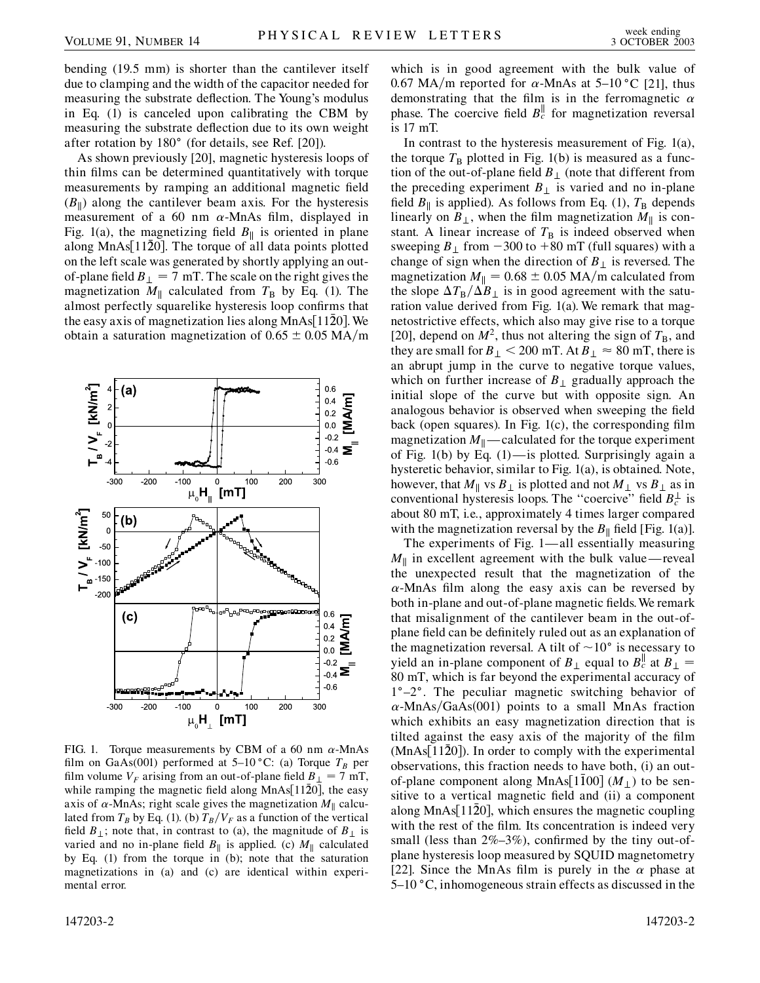bending (19.5 mm) is shorter than the cantilever itself due to clamping and the width of the capacitor needed for measuring the substrate deflection. The Young's modulus in Eq. (1) is canceled upon calibrating the CBM by measuring the substrate deflection due to its own weight after rotation by  $180^\circ$  (for details, see Ref. [20]).

As shown previously [20], magnetic hysteresis loops of thin films can be determined quantitatively with torque measurements by ramping an additional magnetic field  $(B_{\parallel})$  along the cantilever beam axis. For the hysteresis measurement of a 60 nm  $\alpha$ -MnAs film, displayed in Fig. 1(a), the magnetizing field  $B_{\parallel}$  is oriented in plane along  $MnAs[1120]$ . The torque of all data points plotted on the left scale was generated by shortly applying an outof-plane field  $B_{\perp} = 7$  mT. The scale on the right gives the magnetization  $M_{\parallel}$  calculated from  $T_{\rm B}$  by Eq. (1). The almost perfectly squarelike hysteresis loop confirms that the easy axis of magnetization lies along  $MnAs[11\overline{2}0]$ . We obtain a saturation magnetization of  $0.65 \pm 0.05$  MA/m



FIG. 1. Torque measurements by CBM of a 60 nm  $\alpha$ -MnAs film on GaAs(001) performed at 5–10 °C: (a) Torque  $T_B$  per film volume  $V_F$  arising from an out-of-plane field  $B_{\perp} = 7$  mT, while ramping the magnetic field along  $MnAs[11\bar{2}0]$ , the easy axis of  $\alpha$ -MnAs; right scale gives the magnetization  $M_{\parallel}$  calculated from  $T_B$  by Eq. (1). (b)  $T_B/V_F$  as a function of the vertical field  $B_{\perp}$ ; note that, in contrast to (a), the magnitude of  $B_{\perp}$  is varied and no in-plane field  $B_{\parallel}$  is applied. (c)  $M_{\parallel}$  calculated by Eq. (1) from the torque in (b); note that the saturation magnetizations in (a) and (c) are identical within experimental error.

which is in good agreement with the bulk value of 0.67 MA/m reported for  $\alpha$ -MnAs at 5–10 °C [21], thus demonstrating that the film is in the ferromagnetic  $\alpha$ phase. The coercive field  $B_c^{\parallel}$  for magnetization reversal is 17 mT.

In contrast to the hysteresis measurement of Fig. 1(a), the torque  $T_B$  plotted in Fig. 1(b) is measured as a function of the out-of-plane field  $B_{\perp}$  (note that different from the preceding experiment  $B_{\perp}$  is varied and no in-plane field  $B_{\parallel}$  is applied). As follows from Eq. (1),  $T_{\text{B}}$  depends linearly on  $B_{\perp}$ , when the film magnetization  $M_{\parallel}$  is constant. A linear increase of  $T<sub>B</sub>$  is indeed observed when sweeping  $B_{\perp}$  from  $-300$  to  $+80$  mT (full squares) with a change of sign when the direction of  $B_{\perp}$  is reversed. The magnetization  $M_{\parallel} = 0.68 \pm 0.05$  MA/m calculated from the slope  $\Delta T_B/\Delta B_\perp$  is in good agreement with the saturation value derived from Fig. 1(a). We remark that magnetostrictive effects, which also may give rise to a torque [20], depend on  $M^2$ , thus not altering the sign of  $T_B$ , and they are small for  $B_{\perp}$  < 200 mT. At  $B_{\perp} \approx 80$  mT, there is an abrupt jump in the curve to negative torque values, which on further increase of  $B_{\perp}$  gradually approach the initial slope of the curve but with opposite sign. An analogous behavior is observed when sweeping the field back (open squares). In Fig. 1(c), the corresponding film magnetization  $M_{\parallel}$ — calculated for the torque experiment of Fig. 1(b) by Eq.  $(1)$ —is plotted. Surprisingly again a hysteretic behavior, similar to Fig. 1(a), is obtained. Note, however, that  $M_{\parallel}$  vs  $B_{\perp}$  is plotted and not  $M_{\perp}$  vs  $B_{\perp}$  as in conventional hysteresis loops. The "coercive" field  $B_c^{\perp}$  is about 80 mT, i.e., approximately 4 times larger compared with the magnetization reversal by the  $B_{\parallel}$  field [Fig. 1(a)].

The experiments of Fig. 1—all essentially measuring  $M_{\parallel}$  in excellent agreement with the bulk value — reveal the unexpected result that the magnetization of the  $\alpha$ -MnAs film along the easy axis can be reversed by both in-plane and out-of-plane magnetic fields.We remark that misalignment of the cantilever beam in the out-ofplane field can be definitely ruled out as an explanation of the magnetization reversal. A tilt of  $\sim 10^{\circ}$  is necessary to yield an in-plane component of  $B_{\perp}$  equal to  $B_{c}^{\parallel}$  at  $B_{\perp}^{\parallel}$ 80 mT, which is far beyond the experimental accuracy of  $1^{\circ}-2^{\circ}$ . The peculiar magnetic switching behavior of  $\alpha$ -MnAs/GaAs(001) points to a small MnAs fraction which exhibits an easy magnetization direction that is tilted against the easy axis of the majority of the film  $(MnAs[11\bar{2}0])$ . In order to comply with the experimental observations, this fraction needs to have both, (i) an outof-plane component along MnAs $[1\overline{1}00]$  ( $M_{\perp}$ ) to be sensitive to a vertical magnetic field and (ii) a component along MnAs  $[11\overline{2}0]$ , which ensures the magnetic coupling with the rest of the film. Its concentration is indeed very small (less than  $2\% - 3\%$ ), confirmed by the tiny out-ofplane hysteresis loop measured by SQUID magnetometry [22]. Since the MnAs film is purely in the  $\alpha$  phase at  $5-10$  °C, inhomogeneous strain effects as discussed in the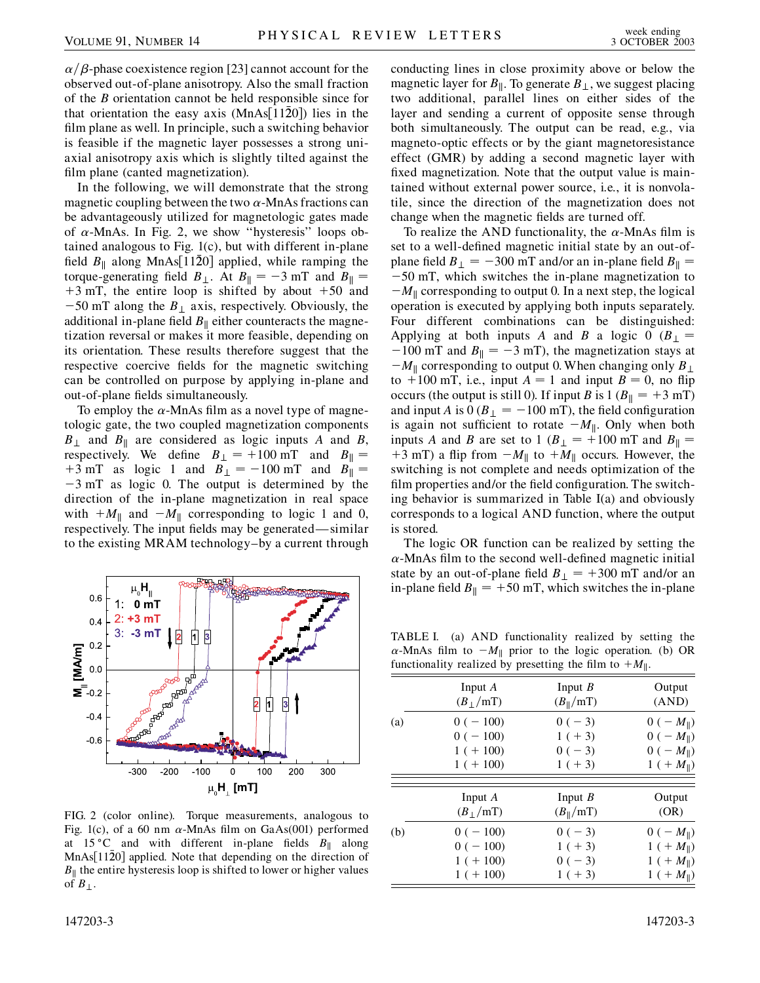$\alpha/\beta$ -phase coexistence region [23] cannot account for the observed out-of-plane anisotropy. Also the small fraction of the *B* orientation cannot be held responsible since for that orientation the easy axis  $(MnAs|1120)$  lies in the film plane as well. In principle, such a switching behavior is feasible if the magnetic layer possesses a strong uniaxial anisotropy axis which is slightly tilted against the film plane (canted magnetization).

In the following, we will demonstrate that the strong magnetic coupling between the two  $\alpha$ -MnAs fractions can be advantageously utilized for magnetologic gates made of  $\alpha$ -MnAs. In Fig. 2, we show "hysteresis" loops obtained analogous to Fig. 1(c), but with different in-plane field  $B_{\parallel}$  along MnAs[1120] applied, while ramping the torque-generating field  $B_{\perp}$ . At  $B_{\parallel} = -3$  mT and  $B_{\parallel} =$  $+3$  mT, the entire loop is shifted by about  $+50$  and  $-50$  mT along the  $B_{\perp}$  axis, respectively. Obviously, the additional in-plane field  $B_{\parallel}$  either counteracts the magnetization reversal or makes it more feasible, depending on its orientation. These results therefore suggest that the respective coercive fields for the magnetic switching can be controlled on purpose by applying in-plane and out-of-plane fields simultaneously.

To employ the  $\alpha$ -MnAs film as a novel type of magnetologic gate, the two coupled magnetization components  $B_{\perp}$  and  $B_{\parallel}$  are considered as logic inputs *A* and *B*, respectively. We define  $B_{\perp} = +100$  mT and  $B_{\parallel} =$  $+3$  mT as logic 1 and  $B_{\perp} = -100$  mT and  $B_{\parallel} =$  $-3$  mT as logic 0. The output is determined by the direction of the in-plane magnetization in real space with  $+M_{\parallel}$  and  $-M_{\parallel}$  corresponding to logic 1 and 0, respectively. The input fields may be generated—similar to the existing MRAM technology–by a current through



FIG. 2 (color online). Torque measurements, analogous to Fig. 1(c), of a 60 nm  $\alpha$ -MnAs film on GaAs(001) performed at 15 °C and with different in-plane fields  $B_{\parallel}$  along  $MnAs[11\overline{2}0]$  applied. Note that depending on the direction of  $B_{\parallel}$  the entire hysteresis loop is shifted to lower or higher values of  $B_{\perp}$ .

147203-3 147203-3

conducting lines in close proximity above or below the magnetic layer for  $B_{\parallel}$ . To generate  $B_{\perp}$ , we suggest placing two additional, parallel lines on either sides of the layer and sending a current of opposite sense through both simultaneously. The output can be read, e.g., via magneto-optic effects or by the giant magnetoresistance effect (GMR) by adding a second magnetic layer with fixed magnetization. Note that the output value is maintained without external power source, i.e., it is nonvolatile, since the direction of the magnetization does not change when the magnetic fields are turned off.

To realize the AND functionality, the  $\alpha$ -MnAs film is set to a well-defined magnetic initial state by an out-ofplane field  $B_{\perp} = -300$  mT and/or an in-plane field  $B_{\parallel} =$  50 mT, which switches the in-plane magnetization to  $-M_{\parallel}$  corresponding to output 0. In a next step, the logical operation is executed by applying both inputs separately. Four different combinations can be distinguished: Applying at both inputs *A* and *B* a logic 0 ( $B_{\perp}$  =  $-100$  mT and  $B_{\parallel} = -3$  mT), the magnetization stays at  $-M_{\parallel}$  corresponding to output 0. When changing only  $B_{\perp}$ to  $+100$  mT, i.e., input  $A = 1$  and input  $B = 0$ , no flip occurs (the output is still 0). If input *B* is  $1 (B_{\parallel} = +3 \text{ mT})$ and input *A* is  $0 (B_{\perp} = -100 \text{ mT})$ , the field configuration is again not sufficient to rotate  $-M_{\parallel}$ . Only when both inputs *A* and *B* are set to 1 ( $B_{\perp}$  = +100 mT and  $B_{\parallel}$  = +3 mT) a flip from  $-M_{\parallel}$  to  $+M_{\parallel}$  occurs. However, the switching is not complete and needs optimization of the film properties and/or the field configuration. The switching behavior is summarized in Table I(a) and obviously corresponds to a logical AND function, where the output is stored.

The logic OR function can be realized by setting the  $\alpha$ -MnAs film to the second well-defined magnetic initial state by an out-of-plane field  $B_{\perp} = +300$  mT and/or an in-plane field  $B_{\parallel} = +50$  mT, which switches the in-plane

TABLE I. (a) AND functionality realized by setting the  $\alpha$ -MnAs film to  $-M_{\parallel}$  prior to the logic operation. (b) OR functionality realized by presetting the film to  $+M_{\parallel}$ .

|     | Input $A$   | Input $B$            | Output                |
|-----|-------------|----------------------|-----------------------|
|     | $(B_+/mT)$  | $(B_{\parallel}/mT)$ | (AND)                 |
| (a) | $0(-100)$   | $0(-3)$              | $0(-M_{\parallel})$   |
|     | $0(-100)$   | $1 (+ 3)$            | $0(-M_{\parallel})$   |
|     | $1 (+ 100)$ | $0(-3)$              | $0(-M_{\parallel})$   |
|     | $1 (+ 100)$ | $1 (+ 3)$            | $1 (+ M_{\parallel})$ |
|     | Input $A$   | Input $B$            | Output                |
|     | $(B_+/mT)$  | $(B_{\parallel}/mT)$ | (OR)                  |